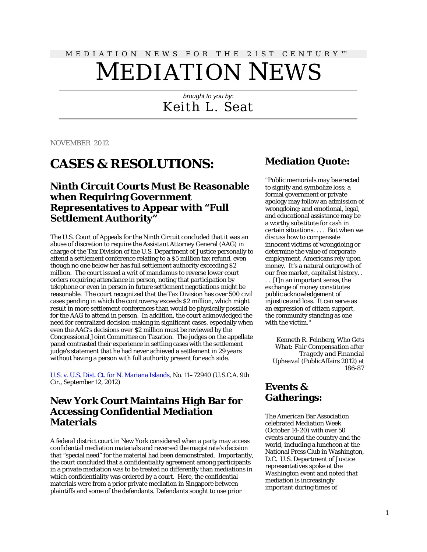# MEDIATION NEWS FOR THE 21ST CENTURY™ MEDIATION NEWS

*brought to you by:* Keith L. Seat

NOVEMBER 2012

## **CASES & RESOLUTIONS:**

#### **Ninth Circuit Courts Must Be Reasonable when Requiring Government Representatives to Appear with "Full Settlement Authority"**

The U.S. Court of Appeals for the Ninth Circuit concluded that it was an abuse of discretion to require the Assistant Attorney General (AAG) in charge of the Tax Division of the U.S. Department of Justice personally to attend a settlement conference relating to a \$5 million tax refund, even though no one below her has full settlement authority exceeding \$2 million. The court issued a writ of mandamus to reverse lower court orders requiring attendance in person, noting that participation by telephone or even in person in future settlement negotiations might be reasonable. The court recognized that the Tax Division has over 500 civil cases pending in which the controversy exceeds \$2 million, which might result in more settlement conferences than would be physically possible for the AAG to attend in person. In addition, the court acknowledged the need for centralized decision-making in significant cases, especially when even the AAG's decisions over \$2 million must be reviewed by the Congressional Joint Committee on Taxation. The judges on the appellate panel contrasted their experience in settling cases with the settlement judge's statement that he had never achieved a settlement in 29 years without having a person with full authority present for each side.

[U.S. v. U.S. Dist. Ct. for N. Mariana Islands,](http://www.ca9.uscourts.gov/datastore/opinions/2012/09/12/11-72940.pdf) No. 11–72940 (U.S.C.A. 9th Cir., September 12, 2012)

#### **New York Court Maintains High Bar for Accessing Confidential Mediation Materials**

A federal district court in New York considered when a party may access confidential mediation materials and reversed the magistrate's decision that "special need" for the material had been demonstrated. Importantly, the court concluded that a confidentiality agreement among participants in a private mediation was to be treated no differently than mediations in which confidentiality was ordered by a court. Here, the confidential materials were from a prior private mediation in Singapore between plaintiffs and some of the defendants. Defendants sought to use prior

#### **Mediation Quote:**

"Public memorials may be erected to signify and symbolize loss; a formal government or private apology may follow an admission of wrongdoing; and emotional, legal, and educational assistance may be a worthy substitute for cash in certain situations. . . . But when we discuss how to compensate innocent victims of wrongdoing or determine the value of corporate employment, Americans rely upon money. It's a natural outgrowth of our free market, capitalist history. .

. . [I]n an important sense, the exchange of money constitutes public acknowledgement of injustice and loss. It can serve as an expression of citizen support, the community standing as one with the victim."

Kenneth R. Feinberg, *Who Gets What: Fair Compensation after Tragedy and Financial Upheaval* (PublicAffairs 2012) at 186-87

#### **Events & Gatherings:**

The American Bar Association celebrated Mediation Week (October 14-20) with over 50 events around the country and the world, including a luncheon at the National Press Club in Washington, D.C. U.S. Department of Justice representatives spoke at the Washington event and noted that mediation is increasingly important during times of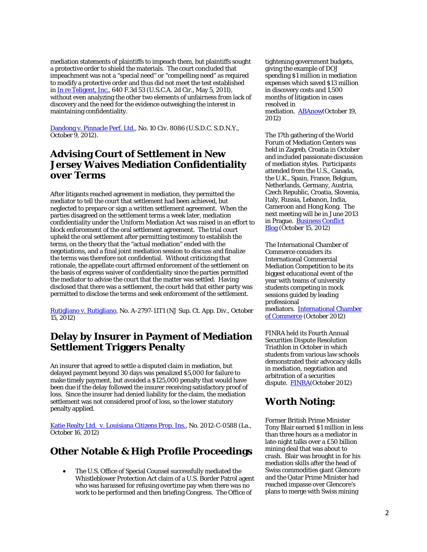mediation statements of plaintiffs to impeach them, but plaintiffs sought a protective order to shield the materials. The court concluded that impeachment was not a "special need" or "compelling need" as required to modify a protective order and thus did not meet the test established in [In re Teligent, Inc.,](http://tinyurl.com/avh2vuk) 640 F.3d 53 (U.S.C.A. 2d Cir., May 5, 2011), without even analyzing the other two elements of unfairness from lack of discovery and the need for the evidence outweighing the interest in maintaining confidentiality.

[Dandong v. Pinnacle Perf. Ltd.,](http://scholar.google.com/scholar_case?case=171266020702658211&hl=en&as_sdt=2&as_vis=1&oi=scholarr) No. 10 Civ. 8086 (U.S.D.C. S.D.N.Y., October 9, 2012).

### **Advising Court of Settlement in New Jersey Waives Mediation Confidentiality over Terms**

After litigants reached agreement in mediation, they permitted the mediator to tell the court that settlement had been achieved, but neglected to prepare or sign a written settlement agreement. When the parties disagreed on the settlement terms a week later, mediation confidentiality under the Uniform Mediation Act was raised in an effort to block enforcement of the oral settlement agreement. The trial court upheld the oral settlement after permitting testimony to establish the terms, on the theory that the "actual mediation" ended with the negotiations, and a final joint mediation session to discuss and finalize the terms was therefore not confidential. Without criticizing that rationale, the appellate court affirmed enforcement of the settlement on the basis of express waiver of confidentiality since the parties permitted the mediator to advise the court that the matter was settled. Having disclosed that there was a settlement, the court held that either party was permitted to disclose the terms and seek enforcement of the settlement.

[Rutigliano v. Rutigliano,](http://njlaw.rutgers.edu/collections/courts/appellate/a2797-11.opn.html) No. A-2797-11T1 (NJ Sup. Ct. App. Div., October 15, 2012)

#### **Delay by Insurer in Payment of Mediation Settlement Triggers Penalty**

An insurer that agreed to settle a disputed claim in mediation, but delayed payment beyond 30 days was penalized \$5,000 for failure to make timely payment, but avoided a \$125,000 penalty that would have been due if the delay followed the insurer receiving satisfactory proof of loss. Since the insurer had denied liability for the claim, the mediation settlement was not considered proof of loss, so the lower statutory penalty applied.

Katie Realty Ltd. [v. Louisiana Citizens Prop. Ins.,](http://www.leagle.com/xmlResult.aspx?xmldoc=In%20LACO%2020121016324.xml&docbase=CSLWAR3-2007-CURR) No. 2012-C-0588 (La., October 16, 2012)

#### **Other Notable & High Profile Proceedings**

• The U.S. Office of Special Counsel successfully mediated the Whistleblower Protection Act claim of a U.S. Border Patrol agent who was harassed for refusing overtime pay when there was no work to be performed and then briefing Congress. The Office of

tightening government budgets, giving the example of DOJ spending \$1 million in mediation expenses which saved \$13 million in discovery costs and 1,500 months of litigation in cases resolved in mediation. **ABAnow**(October 19, 2012)

The 17th gathering of the World Forum of Mediation Centers was held in Zagreb, Croatia in October and included passionate discussion of mediation styles. Participants attended from the U.S., Canada, the U.K., Spain, France, Belgium, Netherlands, Germany, Austria, Czech Republic, Croatia, Slovenia, Italy, Russia, Lebanon, India, Cameroon and Hong Kong. The next meeting will be in June 2013 in Prague. [Business Conflict](http://businessconflictmanagement.com/blog/2012/10/uia-mediation-forum-meets-in-zagreb/)  [Blog](http://businessconflictmanagement.com/blog/2012/10/uia-mediation-forum-meets-in-zagreb/) (October 15, 2012)

The International Chamber of Commerce considers its International Commercial Mediation Competition to be its biggest educational event of the year with teams of university students competing in mock sessions guided by leading professional mediators. [International Chamber](http://iccwbo.org/training-and-events/competitions-and-awards/mediation-competition/the-icc-international-commercial-mediation-competition/)  [of Commerce](http://iccwbo.org/training-and-events/competitions-and-awards/mediation-competition/the-icc-international-commercial-mediation-competition/) (October 2012)

FINRA held its Fourth Annual Securities Dispute Resolution Triathlon in October in which students from various law schools demonstrated their advocacy skills in mediation, negotiation and arbitration of a securities dispute. [FINRA\(](http://www.finra.org/ArbitrationAndMediation/Arbitrators/Training/P154166)October 2012)

#### **Worth Noting:**

Former British Prime Minister Tony Blair earned \$1 million in less than three hours as a mediator in late-night talks over a £50 billion mining deal that was about to crash. Blair was brought in for his mediation skills after the head of Swiss commodities giant Glencore and the Qatar Prime Minister had reached impasse over Glencore's plans to merge with Swiss mining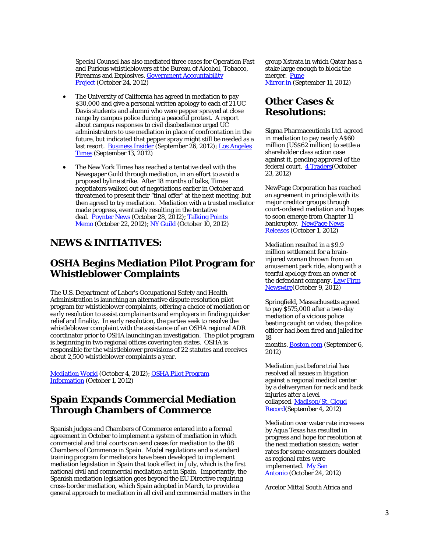Special Counsel has also mediated three cases for Operation Fast and Furious whistleblowers at the Bureau of Alcohol, Tobacco, Firearms and Explosives. [Government Accountability](http://tinyurl.com/9q47o87)  [Project](http://tinyurl.com/9q47o87) (October 24, 2012)

- The University of California has agreed in mediation to pay \$30,000 and give a personal written apology to each of 21 UC Davis students and alumni who were pepper sprayed at close range by campus police during a peaceful protest. A report about campus responses to civil disobedience urged UC administrators to use mediation in place of confrontation in the future, but indicated that pepper spray might still be needed as a last resort. [Business Insider](http://www.businessinsider.com/pepper-sprayed-uc-davis-students-win-1-million-settlement-2012-9) (September 26, 2012); [Los Angeles](http://www.latimes.com/news/local/la-me-uc-pepper-spray-20120914,0,1752264.story)  [Times](http://www.latimes.com/news/local/la-me-uc-pepper-spray-20120914,0,1752264.story) (September 13, 2012)
- The New York Times has reached a tentative deal with the Newspaper Guild through mediation, in an effort to avoid a proposed byline strike. After 18 months of talks, Times negotiators walked out of negotiations earlier in October and threatened to present their "final offer" at the next meeting, but then agreed to try mediation. Mediation with a trusted mediator made progress, eventually resulting in the tentative deal. [Poynter News](http://www.poynter.org/latest-news/mediawire/193297/new-york-times-guild-reach-deal-for-new-contract/) (October 28, 2012); [Talking Points](http://tpmdc.talkingpointsmemo.com/2012/10/ny-times-byline-strike-union.php)  [Memo](http://tpmdc.talkingpointsmemo.com/2012/10/ny-times-byline-strike-union.php) (October 22, 2012); [NY Guild](http://www.nyguild.org/ny-times-news-details/items/guild-proposes-mediator-for-talks-ny-times-management-accepts.html) (October 10, 2012)

#### **NEWS & INITIATIVES:**

#### **OSHA Begins Mediation Pilot Program for Whistleblower Complaints**

The U.S. Department of Labor's Occupational Safety and Health Administration is launching an alternative dispute resolution pilot program for whistleblower complaints, offering a choice of mediation or early resolution to assist complainants and employers in finding quicker relief and finality. In early resolution, the parties seek to resolve the whistleblower complaint with the assistance of an OSHA regional ADR coordinator prior to OSHA launching an investigation. The pilot program is beginning in two regional offices covering ten states. OSHA is responsible for the whistleblower provisions of 22 statutes and receives about 2,500 whistleblower complaints a year.

[Mediation World](http://www.mediationworld.net/usa/news/full/1072.html) (October 4, 2012); [OSHA Pilot Program](http://s.dol.gov/WV)  [Information](http://s.dol.gov/WV) (October 1, 2012)

### **Spain Expands Commercial Mediation Through Chambers of Commerce**

Spanish judges and Chambers of Commerce entered into a formal agreement in October to implement a system of mediation in which commercial and trial courts can send cases for mediation to the 88 Chambers of Commerce in Spain. Model regulations and a standard training program for mediators have been developed to implement mediation legislation in Spain that took effect in July, which is the first national civil and commercial mediation act in Spain. Importantly, the Spanish mediation legislation goes beyond the EU Directive requiring cross-border mediation, which Spain adopted in March, to provide a general approach to mediation in all civil and commercial matters in the group Xstrata in which Qatar has a stake large enough to block the merger. [Pune](http://www.punemirror.in/article/5/2012091120120911083645628eda3b714/Blair-makes-1m-in-3-hrs-for-brokering-mining-deal.html)  [Mirror.in](http://www.punemirror.in/article/5/2012091120120911083645628eda3b714/Blair-makes-1m-in-3-hrs-for-brokering-mining-deal.html) (September 11, 2012)

#### **Other Cases & Resolutions:**

Sigma Pharmaceuticals Ltd. agreed in mediation to pay nearly A\$60 million (US\$62 million) to settle a shareholder class action case against it, pending approval of the federal court. [4 Traders\(](http://www.4-traders.com/SLATER-GORDON-LIMITED-6499693/news/Slater-Gordon-Limited-Conditional-settlement-reached-in-Sigma-shareholder-class-action-15417361/)October 23, 2012)

NewPage Corporation has reached an agreement in principle with its major creditor groups through court-ordered mediation and hopes to soon emerge from Chapter 11 bankruptcy. NewPage News [Releases](http://investors.newpagecorp.com/2012-10-01-NewPage-Reaches-Agreement-On-Chapter-11-Plan) (October 1, 2012)

Mediation resulted in a \$9.9 million settlement for a braininjured woman thrown from an amusement park ride, along with a tearful apology from an owner of the defendant company. [Law Firm](http://www.lawfirmnewswire.com/2012/10/yarborough-applegate-law-firm-recovers-9-9-million-settlement-for-traumatic-brain-injury-victim/)  [Newswire\(](http://www.lawfirmnewswire.com/2012/10/yarborough-applegate-law-firm-recovers-9-9-million-settlement-for-traumatic-brain-injury-victim/)October 9, 2012)

Springfield, Massachusetts agreed to pay \$575,000 after a two-day mediation of a vicious police beating caught on video; the police officer had been fired and jailed for 18

months. **[Boston.com](http://www.boston.com/news/local/massachusetts/articles/2012/09/06/springfield_to_pay_575000_for_police_beating/)** (September 6, 2012)

Mediation just before trial has resolved all issues in litigation against a regional medical center by a deliveryman for neck and back injuries after a level collapsed. [Madison/St. Cloud](http://www.madisonrecord.com/news/246520-drivers-case-against-hospital-settles-through-mediation-on-eve-of-trial)  [Record\(](http://www.madisonrecord.com/news/246520-drivers-case-against-hospital-settles-through-mediation-on-eve-of-trial)September 4, 2012)

Mediation over water rate increases by Aqua Texas has resulted in progress and hope for resolution at the next mediation session; water rates for some consumers doubled as regional rates were implemented. [My San](http://www.mysanantonio.com/news/local_news/article/Progress-made-in-mediation-on-Aqua-Texas-rate-3978536.php)  [Antonio](http://www.mysanantonio.com/news/local_news/article/Progress-made-in-mediation-on-Aqua-Texas-rate-3978536.php) (October 24, 2012)

Arcelor Mittal South Africa and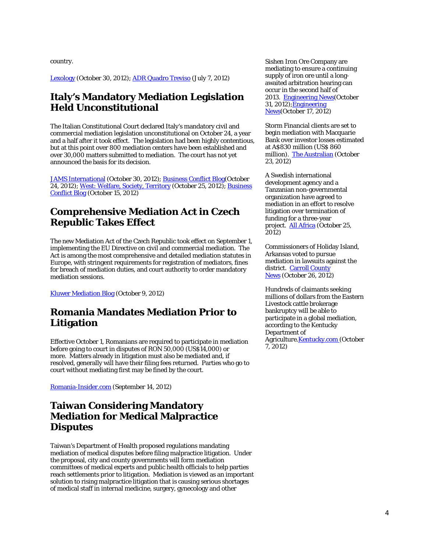country.

[Lexology](http://www.lexology.com/library/detail.aspx?g=7d97d5e6-c4fb-4293-b639-6be8f0d5759c) (October 30, 2012); [ADR Quadro Treviso](http://tinyurl.com/age2buq) (July 7, 2012)

#### **Italy's Mandatory Mediation Legislation Held Unconstitutional**

The Italian Constitutional Court declared Italy's mandatory civil and commercial mediation legislation unconstitutional on October 24, a year and a half after it took effect. The legislation had been highly contentious, but at this point over 800 mediation centers have been established and over 30,000 matters submitted to mediation. The court has not yet announced the basis for its decision.

[JAMS International](http://www.jamsinternational.com/mediation/mandatory-mediation-under-threat-in-italy) (October 30, 2012); [Business Conflict Blog\(](http://businessconflictmanagement.com/blog/2012/10/showdown-for-mediation-in-italy/)October 24, 2012); [West: Welfare, Society, Territory](http://www.west-info.eu/goodbye-mandatory-mediation/) (October 25, 2012); Business [Conflict Blog](http://businessconflictmanagement.com/blog/2012/10/uia-mediation-forum-meets-in-zagreb/) (October 15, 2012)

#### **Comprehensive Mediation Act in Czech Republic Takes Effect**

The new Mediation Act of the Czech Republic took effect on September 1, implementing the EU Directive on civil and commercial mediation. The Act is among the most comprehensive and detailed mediation statutes in Europe, with stringent requirements for registration of mediators, fines for breach of mediation duties, and court authority to order mandatory mediation sessions.

[Kluwer Mediation Blog](http://kluwermediationblog.com/2012/10/09/mediation-in-the-czech-republic-%E2%80%93-way-forward-act-no-2022012/) (October 9, 2012)

#### **Romania Mandates Mediation Prior to Litigation**

Effective October 1, Romanians are required to participate in mediation before going to court in disputes of RON 50,000 (US\$14,000) or more. Matters already in litigation must also be mediated and, if resolved, generally will have their filing fees returned. Parties who go to court without mediating first may be fined by the court.

[Romania-Insider.com](http://www.romania-insider.com/new-law-mandates-romanians-to-attempt-mediation-before-going-to-court/65048/) (September 14, 2012)

#### **Taiwan Considering Mandatory Mediation for Medical Malpractice Disputes**

Taiwan's Department of Health proposed regulations mandating mediation of medical disputes before filing malpractice litigation. Under the proposal, city and county governments will form mediation committees of medical experts and public health officials to help parties reach settlements prior to litigation. Mediation is viewed as an important solution to rising malpractice litigation that is causing serious shortages of medical staff in internal medicine, surgery, gynecology and other

Sishen Iron Ore Company are mediating to ensure a continuing supply of iron ore until a longawaited arbitration hearing can occur in the second half of 2013. [Engineering News\(](http://www.engineeringnews.co.za/article/mittal-now-expects-sioc-arbitration-only-in-second-half-of-2013-2012-10-31)October 31, 2012)[;Engineering](http://www.engineeringnews.co.za/article/dti-facilitated-kumba-mittal-mediation-process-under-way-2012-10-17)  [News\(](http://www.engineeringnews.co.za/article/dti-facilitated-kumba-mittal-mediation-process-under-way-2012-10-17)October 17, 2012)

Storm Financial clients are set to begin mediation with Macquarie Bank over investor losses estimated at A\$830 million (US\$ 860 million). [The Australian](http://www.theaustralian.com.au/news/breaking-news/macquarie-ready-to-broker-storm-deal/story-fn3dxiwe-1226501535775) (October 23, 2012)

A Swedish international development agency and a Tanzanian non-governmental organization have agreed to mediation in an effort to resolve litigation over termination of funding for a three-year project. [All Africa](http://allafrica.com/stories/201210250177.html) (October 25, 2012)

Commissioners of Holiday Island, Arkansas voted to pursue mediation in lawsuits against the district. [Carroll County](http://www.carrollconews.com/story/1907961.html)  [News](http://www.carrollconews.com/story/1907961.html) (October 26, 2012)

Hundreds of claimants seeking millions of dollars from the Eastern Livestock cattle brokerage bankruptcy will be able to participate in a global mediation, according to the Kentucky Department of Agriculture.**Kentucky.com** (October 7, 2012)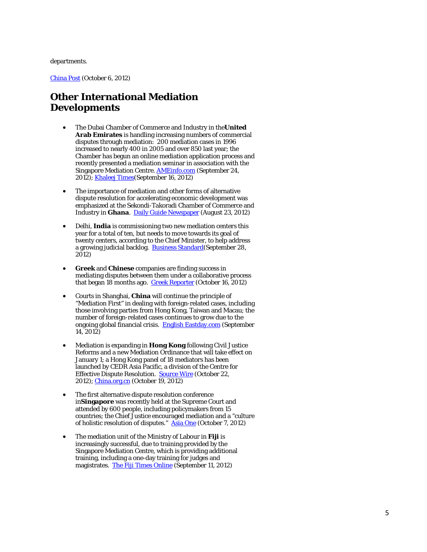#### departments.

[China Post](https://www.chinapost.com.tw/taiwan/national/national-news/2012/10/06/356723/DOH-aims.htm) (October 6, 2012)

#### **Other International Mediation Developments**

- The Dubai Chamber of Commerce and Industry in the**United Arab Emirates** is handling increasing numbers of commercial disputes through mediation: 200 mediation cases in 1996 increased to nearly 400 in 2005 and over 850 last year; the Chamber has begun an online mediation application process and recently presented a mediation seminar in association with the Singapore Mediation Centre. **[AMEinfo.com](http://www.ameinfo.com/dubai-chamber-set-launch-on-line-mediation-312630)** (September 24, 2012); [Khaleej Times\(](http://www.khaleejtimes.com/nation/inside.asp?xfile=/data/nationgeneral/2012/September/nationgeneral_September237.xml§ion=nationgeneral)September 16, 2012)
- The importance of mediation and other forms of alternative dispute resolution for accelerating economic development was emphasized at the Sekondi -Takoradi Chamber of Commerce and Industry in **Ghana**. <u>Daily Guide Newspaper</u> (August 23, 2012)
- Delhi, **India** is commissioning two new mediation centers this year for a total of ten, but needs to move towards its goal of twenty centers, according to the Chief Minister, to help address a growing judicial backlog. Business Standard (September 28, 2012)
- **Greek** and **Chinese** companies are finding success in mediating disputes between them under a collaborative process that began 18 months ago. [Greek Reporter](http://greece.greekreporter.com/2012/10/16/greek-and-chinese-companies-in-mediation/) (October 16, 2012)
- Courts in Shanghai, **China** will continue the principle of "Mediation First" in dealing with foreign-related cases, including those involving parties from Hong Kong, Taiwan and Macau; the number of foreign-related cases continues to grow due to the ongoing global financial crisis. [English Eastday.com](http://english.eastday.com/e/120914/u1a6860782.html) (September 14, 2012)
- Mediation is expanding in **Hong Kong** following Civil Justice Reforms and a new Mediation Ordinance that will take effect on January 1; a Hong Kong panel of 18 mediators has been launched by CEDR Asia Pacific, a division of the Centre for Effective Dispute Resolution. [Source Wire](http://www.sourcewire.com/news/74722/hong-kong-demand-for-commercial-mediation-services-sees-launch-of) (October 22, 2012); [China.org.cn](http://www.china.org.cn/china/Off_the_Wire/2012-10/19/content_26849991.htm) (October 19, 2012)
- The first alternative dispute resolution conference in**Singapore** was recently held at the Supreme Court and attended by 600 people, including policymakers from 15 countries; the Chief Justice encouraged mediation and a "culture of holistic resolution of disputes." [Asia One](http://news.asiaone.com/News/Latest%2BNews/Singapore/Story/A1Story20121005-375903/2.html) (October 7, 2012)
- The mediation unit of the Ministry of Labour in **Fiji** is increasingly successful, due to training provided by the Singapore Mediation Centre, which is providing additional training, including a one-day training for judges and magistrates. [The Fiji Times Online](http://www.fijitimes.com/story.aspx?id=211525) (September 11, 2012)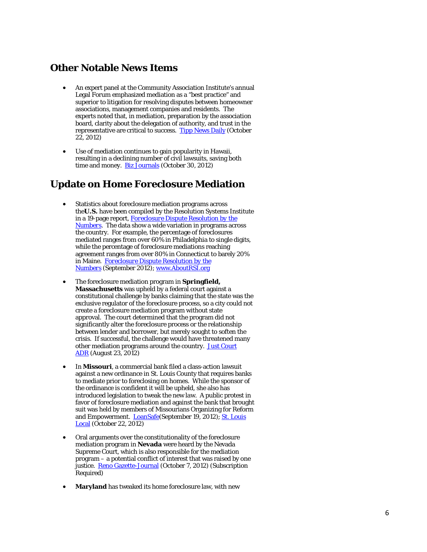#### **Other Notable News Items**

- An expert panel at the Community Association Institute's annual Legal Forum emphasized mediation as a "best practice" and superior to litigation for resolving disputes between homeowner associations, management companies and residents. The experts noted that, in mediation, preparation by the association board, clarity about the delegation of authority, and trust in the representative are critical to success. [Tipp News Daily](http://tippnews.com/national-news/pcm-ceo-donny-disbro-offers-best-practices-on-mediation-for-community-associations-at-cai-legal-conference/) (October 22, 2012)
- Use of mediation continues to gain popularity in Hawaii, resulting in a declining number of civil lawsuits, saving both time and money. **[Biz Journals](http://www.bizjournals.com/pacific/blog/2012/10/a-growing-trend-in-hawaii-saves-money.html)** (October 30, 2012)

#### **Update on Home Foreclosure Mediation**

- Statistics about foreclosure mediation programs across the**U.S.** have been compiled by the Resolution Systems Institute in a 19-page report, *[Foreclosure Dispute Resolution by the](http://aboutrsi.org/pfimages/ForeclosureDRStats.pdf)  [Numbers](http://aboutrsi.org/pfimages/ForeclosureDRStats.pdf)*. The data show a wide variation in programs across the country. For example, the percentage of foreclosures mediated ranges from over 60% in Philadelphia to single digits, while the percentage of foreclosure mediations reaching agreement ranges from over 80% in Connecticut to barely 20% in Maine. *[Foreclosure Dispute Resolution by the](http://aboutrsi.org/pfimages/ForeclosureDRStats.pdf)  [Numbers](http://aboutrsi.org/pfimages/ForeclosureDRStats.pdf)* (September 2012); [www.AboutRSI.org](http://www.aboutrsi.org/)
- The foreclosure mediation program in **Springfield, Massachusetts** was upheld by a federal court against a constitutional challenge by banks claiming that the state was the exclusive regulator of the foreclosure process, so a city could not create a foreclosure mediation program without state approval. The court determined that the program did not significantly alter the foreclosure process or the relationship between lender and borrower, but merely sought to soften the crisis. If successful, the challenge would have threatened many other mediation programs around the country. [Just Court](http://blog.aboutrsi.org/2012/program-management/foreclosure-mediation-upheld-against-constitutional-challenge/)  [ADR](http://blog.aboutrsi.org/2012/program-management/foreclosure-mediation-upheld-against-constitutional-challenge/) (August 23, 2012)
- In **Missouri**, a commercial bank filed a class-action lawsuit against a new ordinance in St. Louis County that requires banks to mediate prior to foreclosing on homes. While the sponsor of the ordinance is confident it will be upheld, she also has introduced legislation to tweak the new law. A public protest in favor of foreclosure mediation and against the bank that brought suit was held by members of Missourians Organizing for Reform and Empowerment. [LoanSafe\(](http://www.loansafe.org/bank-files-lawsuit-challenging-st-louis-county-foreclosure-law)September 19, 2012); St. Louis [Local](http://stlouis.cbslocal.com/2012/10/22/protestors-want-the-bank-of-st-louis-to-support-foreclosure-mediation/) (October 22, 2012)
- Oral arguments over the constitutionality of the foreclosure mediation program in **Nevada** were heard by the Nevada Supreme Court, which is also responsible for the mediation program – a potential conflict of interest that was raised by one justice. [Reno Gazette-Journal](http://tinyurl.com/c26wnq8) (October 7, 2012) (Subscription Required)
- **Maryland** has tweaked its home foreclosure law, with new